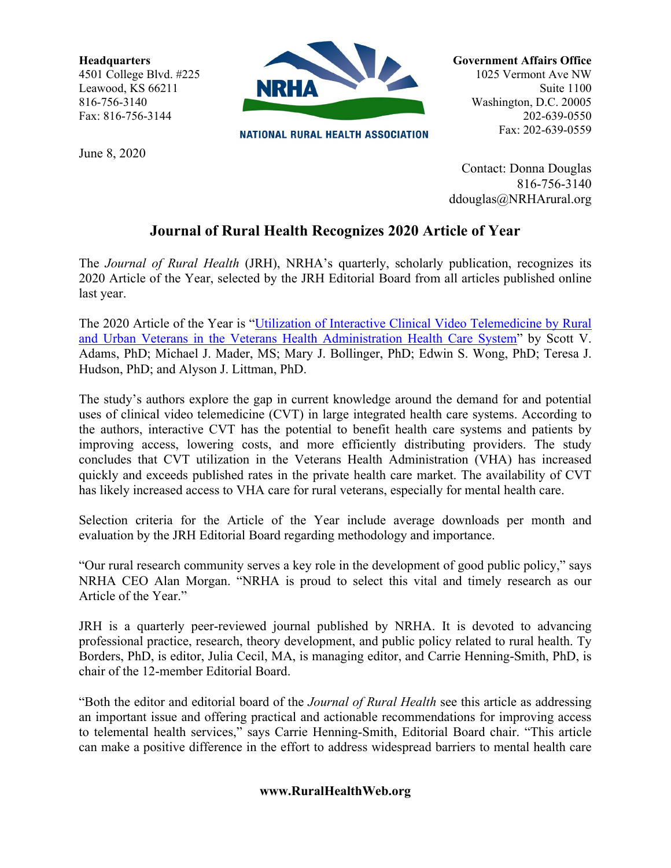**Headquarters** 4501 College Blvd. #225 Leawood, KS 66211 816-756-3140 Fax: 816-756-3144



**NATIONAL RURAL HEALTH ASSOCIATION** 

June 8, 2020

Suite 1100 Washington, D.C. 20005 202-639-0550 Fax: 202-639-0559

**Government Affairs Office** 1025 Vermont Ave NW

Contact: Donna Douglas 816-756-3140 ddouglas@NRHArural.org

## **Journal of Rural Health Recognizes 2020 Article of Year**

The *Journal of Rural Health* (JRH), NRHA's quarterly, scholarly publication, recognizes its 2020 Article of the Year, selected by the JRH Editorial Board from all articles published online last year.

The 2020 Article of the Year is ["Utilization of Interactive Clinical Video Telemedicine by Rural](https://onlinelibrary.wiley.com/doi/10.1111/jrh.12343)  [and Urban Veterans in the Veterans Health Administration Health Care System"](https://onlinelibrary.wiley.com/doi/10.1111/jrh.12343) by Scott V. Adams, PhD; Michael J. Mader, MS; Mary J. Bollinger, PhD; Edwin S. Wong, PhD; Teresa J. Hudson, PhD; and Alyson J. Littman, PhD.

The study's authors explore the gap in current knowledge around the demand for and potential uses of clinical video telemedicine (CVT) in large integrated health care systems. According to the authors, interactive CVT has the potential to benefit health care systems and patients by improving access, lowering costs, and more efficiently distributing providers. The study concludes that CVT utilization in the Veterans Health Administration (VHA) has increased quickly and exceeds published rates in the private health care market. The availability of CVT has likely increased access to VHA care for rural veterans, especially for mental health care.

Selection criteria for the Article of the Year include average downloads per month and evaluation by the JRH Editorial Board regarding methodology and importance.

"Our rural research community serves a key role in the development of good public policy," says NRHA CEO Alan Morgan. "NRHA is proud to select this vital and timely research as our Article of the Year."

JRH is a quarterly peer-reviewed journal published by NRHA. It is devoted to advancing professional practice, research, theory development, and public policy related to rural health. Ty Borders, PhD, is editor, Julia Cecil, MA, is managing editor, and Carrie Henning-Smith, PhD, is chair of the 12-member Editorial Board.

"Both the editor and editorial board of the *Journal of Rural Health* see this article as addressing an important issue and offering practical and actionable recommendations for improving access to telemental health services," says Carrie Henning-Smith, Editorial Board chair. "This article can make a positive difference in the effort to address widespread barriers to mental health care

## **www.RuralHealthWeb.org**